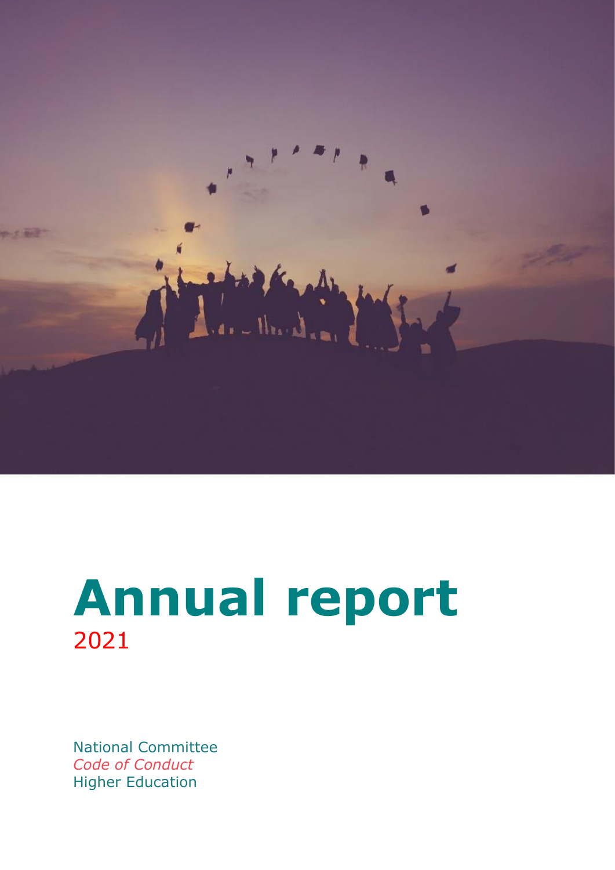

# **Annual report** 2021

National Committee *Code of Conduct* Higher Education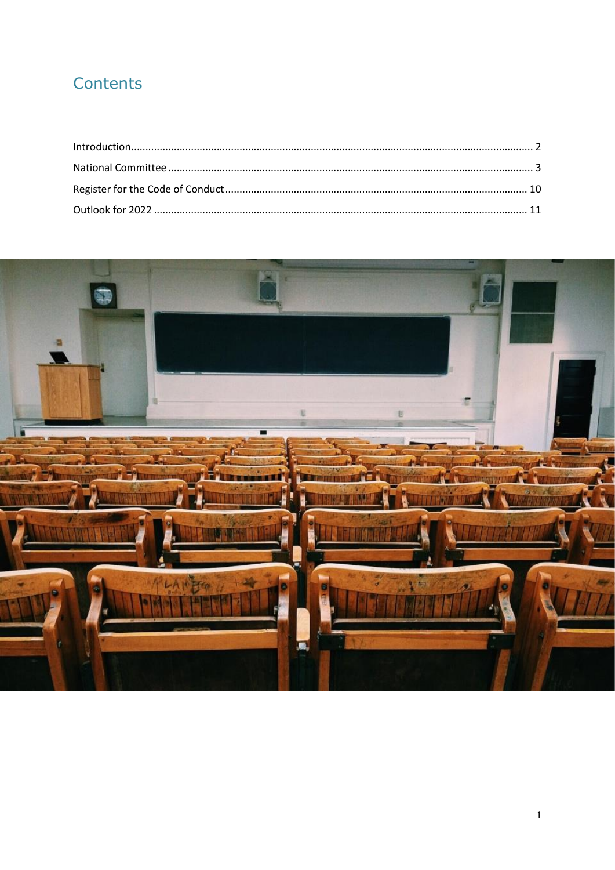# Contents

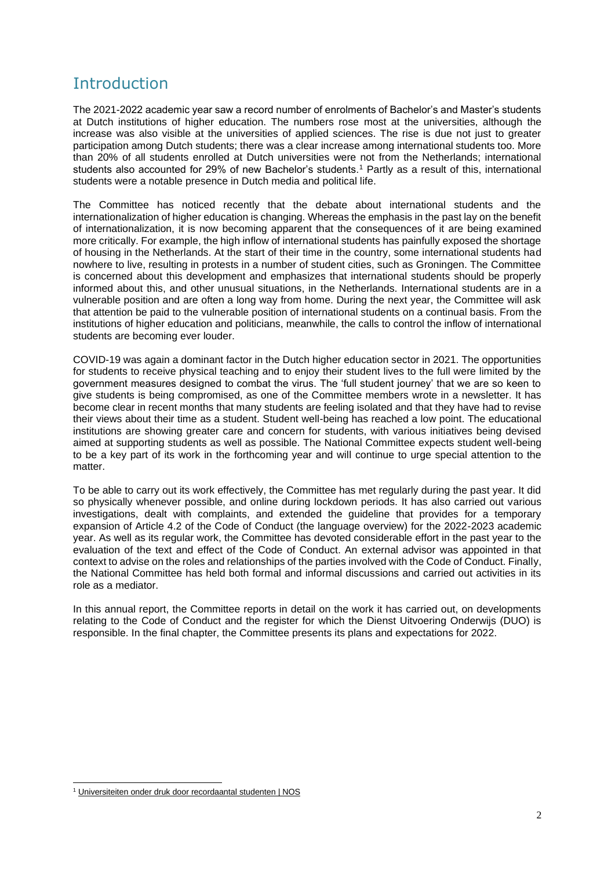# <span id="page-2-0"></span>**Introduction**

The 2021-2022 academic year saw a record number of enrolments of Bachelor's and Master's students at Dutch institutions of higher education. The numbers rose most at the universities, although the increase was also visible at the universities of applied sciences. The rise is due not just to greater participation among Dutch students; there was a clear increase among international students too. More than 20% of all students enrolled at Dutch universities were not from the Netherlands; international students also accounted for 29% of new Bachelor's students.<sup>1</sup> Partly as a result of this, international students were a notable presence in Dutch media and political life.

The Committee has noticed recently that the debate about international students and the internationalization of higher education is changing. Whereas the emphasis in the past lay on the benefit of internationalization, it is now becoming apparent that the consequences of it are being examined more critically. For example, the high inflow of international students has painfully exposed the shortage of housing in the Netherlands. At the start of their time in the country, some international students had nowhere to live, resulting in protests in a number of student cities, such as Groningen. The Committee is concerned about this development and emphasizes that international students should be properly informed about this, and other unusual situations, in the Netherlands. International students are in a vulnerable position and are often a long way from home. During the next year, the Committee will ask that attention be paid to the vulnerable position of international students on a continual basis. From the institutions of higher education and politicians, meanwhile, the calls to control the inflow of international students are becoming ever louder.

COVID-19 was again a dominant factor in the Dutch higher education sector in 2021. The opportunities for students to receive physical teaching and to enjoy their student lives to the full were limited by the government measures designed to combat the virus. The 'full student journey' that we are so keen to give students is being compromised, as one of the Committee members wrote in a newsletter. It has become clear in recent months that many students are feeling isolated and that they have had to revise their views about their time as a student. Student well-being has reached a low point. The educational institutions are showing greater care and concern for students, with various initiatives being devised aimed at supporting students as well as possible. The National Committee expects student well-being to be a key part of its work in the forthcoming year and will continue to urge special attention to the matter.

To be able to carry out its work effectively, the Committee has met regularly during the past year. It did so physically whenever possible, and online during lockdown periods. It has also carried out various investigations, dealt with complaints, and extended the guideline that provides for a temporary expansion of Article 4.2 of the Code of Conduct (the language overview) for the 2022-2023 academic year. As well as its regular work, the Committee has devoted considerable effort in the past year to the evaluation of the text and effect of the Code of Conduct. An external advisor was appointed in that context to advise on the roles and relationships of the parties involved with the Code of Conduct. Finally, the National Committee has held both formal and informal discussions and carried out activities in its role as a mediator.

In this annual report, the Committee reports in detail on the work it has carried out, on developments relating to the Code of Conduct and the register for which the Dienst Uitvoering Onderwijs (DUO) is responsible. In the final chapter, the Committee presents its plans and expectations for 2022.

<sup>1</sup> [Universiteiten onder druk door recordaantal studenten | NOS](https://nos.nl/artikel/2404324-universiteiten-onder-druk-door-recordaantal-studenten)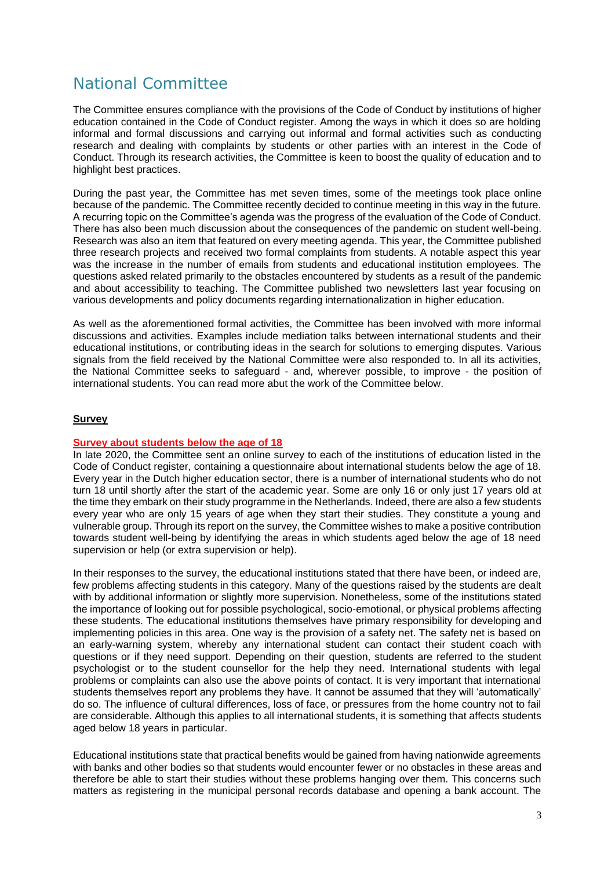# <span id="page-3-0"></span>National Committee

The Committee ensures compliance with the provisions of the Code of Conduct by institutions of higher education contained in the Code of Conduct register. Among the ways in which it does so are holding informal and formal discussions and carrying out informal and formal activities such as conducting research and dealing with complaints by students or other parties with an interest in the Code of Conduct. Through its research activities, the Committee is keen to boost the quality of education and to highlight best practices.

During the past year, the Committee has met seven times, some of the meetings took place online because of the pandemic. The Committee recently decided to continue meeting in this way in the future. A recurring topic on the Committee's agenda was the progress of the evaluation of the Code of Conduct. There has also been much discussion about the consequences of the pandemic on student well-being. Research was also an item that featured on every meeting agenda. This year, the Committee published three research projects and received two formal complaints from students. A notable aspect this year was the increase in the number of emails from students and educational institution employees. The questions asked related primarily to the obstacles encountered by students as a result of the pandemic and about accessibility to teaching. The Committee published two newsletters last year focusing on various developments and policy documents regarding internationalization in higher education.

As well as the aforementioned formal activities, the Committee has been involved with more informal discussions and activities. Examples include mediation talks between international students and their educational institutions, or contributing ideas in the search for solutions to emerging disputes. Various signals from the field received by the National Committee were also responded to. In all its activities, the National Committee seeks to safeguard - and, wherever possible, to improve - the position of international students. You can read more abut the work of the Committee below.

# **Survey**

#### **Survey about students below the age of 18**

In late 2020, the Committee sent an online survey to each of the institutions of education listed in the Code of Conduct register, containing a questionnaire about international students below the age of 18. Every year in the Dutch higher education sector, there is a number of international students who do not turn 18 until shortly after the start of the academic year. Some are only 16 or only just 17 years old at the time they embark on their study programme in the Netherlands. Indeed, there are also a few students every year who are only 15 years of age when they start their studies. They constitute a young and vulnerable group. Through its report on the survey, the Committee wishes to make a positive contribution towards student well-being by identifying the areas in which students aged below the age of 18 need supervision or help (or extra supervision or help).

In their responses to the survey, the educational institutions stated that there have been, or indeed are, few problems affecting students in this category. Many of the questions raised by the students are dealt with by additional information or slightly more supervision. Nonetheless, some of the institutions stated the importance of looking out for possible psychological, socio-emotional, or physical problems affecting these students. The educational institutions themselves have primary responsibility for developing and implementing policies in this area. One way is the provision of a safety net. The safety net is based on an early-warning system, whereby any international student can contact their student coach with questions or if they need support. Depending on their question, students are referred to the student psychologist or to the student counsellor for the help they need. International students with legal problems or complaints can also use the above points of contact. It is very important that international students themselves report any problems they have. It cannot be assumed that they will 'automatically' do so. The influence of cultural differences, loss of face, or pressures from the home country not to fail are considerable. Although this applies to all international students, it is something that affects students aged below 18 years in particular.

Educational institutions state that practical benefits would be gained from having nationwide agreements with banks and other bodies so that students would encounter fewer or no obstacles in these areas and therefore be able to start their studies without these problems hanging over them. This concerns such matters as registering in the municipal personal records database and opening a bank account. The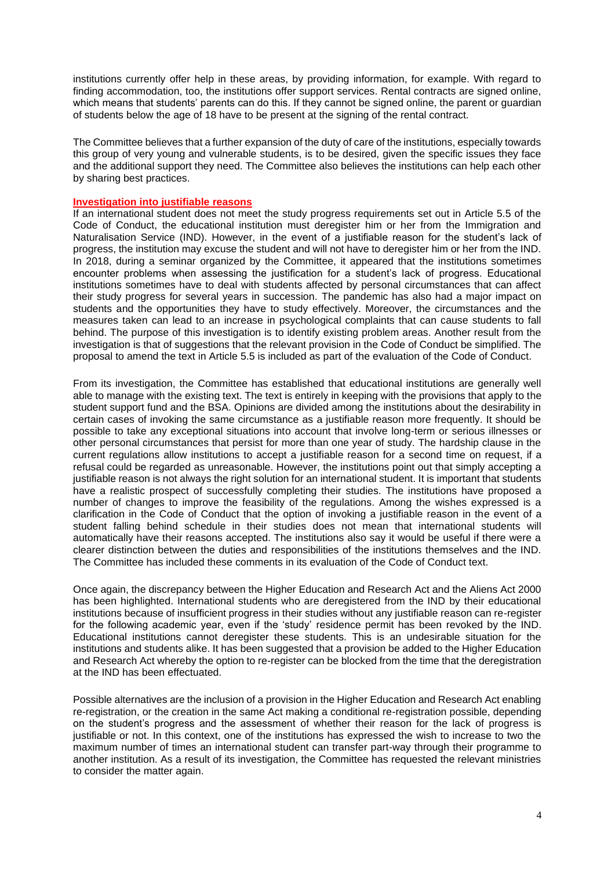institutions currently offer help in these areas, by providing information, for example. With regard to finding accommodation, too, the institutions offer support services. Rental contracts are signed online, which means that students' parents can do this. If they cannot be signed online, the parent or guardian of students below the age of 18 have to be present at the signing of the rental contract.

The Committee believes that a further expansion of the duty of care of the institutions, especially towards this group of very young and vulnerable students, is to be desired, given the specific issues they face and the additional support they need. The Committee also believes the institutions can help each other by sharing best practices.

#### **Investigation into justifiable reasons**

If an international student does not meet the study progress requirements set out in Article 5.5 of the Code of Conduct, the educational institution must deregister him or her from the Immigration and Naturalisation Service (IND). However, in the event of a justifiable reason for the student's lack of progress, the institution may excuse the student and will not have to deregister him or her from the IND. In 2018, during a seminar organized by the Committee, it appeared that the institutions sometimes encounter problems when assessing the justification for a student's lack of progress. Educational institutions sometimes have to deal with students affected by personal circumstances that can affect their study progress for several years in succession. The pandemic has also had a major impact on students and the opportunities they have to study effectively. Moreover, the circumstances and the measures taken can lead to an increase in psychological complaints that can cause students to fall behind. The purpose of this investigation is to identify existing problem areas. Another result from the investigation is that of suggestions that the relevant provision in the Code of Conduct be simplified. The proposal to amend the text in Article 5.5 is included as part of the evaluation of the Code of Conduct.

From its investigation, the Committee has established that educational institutions are generally well able to manage with the existing text. The text is entirely in keeping with the provisions that apply to the student support fund and the BSA. Opinions are divided among the institutions about the desirability in certain cases of invoking the same circumstance as a justifiable reason more frequently. It should be possible to take any exceptional situations into account that involve long-term or serious illnesses or other personal circumstances that persist for more than one year of study. The hardship clause in the current regulations allow institutions to accept a justifiable reason for a second time on request, if a refusal could be regarded as unreasonable. However, the institutions point out that simply accepting a justifiable reason is not always the right solution for an international student. It is important that students have a realistic prospect of successfully completing their studies. The institutions have proposed a number of changes to improve the feasibility of the regulations. Among the wishes expressed is a clarification in the Code of Conduct that the option of invoking a justifiable reason in the event of a student falling behind schedule in their studies does not mean that international students will automatically have their reasons accepted. The institutions also say it would be useful if there were a clearer distinction between the duties and responsibilities of the institutions themselves and the IND. The Committee has included these comments in its evaluation of the Code of Conduct text.

Once again, the discrepancy between the Higher Education and Research Act and the Aliens Act 2000 has been highlighted. International students who are deregistered from the IND by their educational institutions because of insufficient progress in their studies without any justifiable reason can re-register for the following academic year, even if the 'study' residence permit has been revoked by the IND. Educational institutions cannot deregister these students. This is an undesirable situation for the institutions and students alike. It has been suggested that a provision be added to the Higher Education and Research Act whereby the option to re-register can be blocked from the time that the deregistration at the IND has been effectuated.

Possible alternatives are the inclusion of a provision in the Higher Education and Research Act enabling re-registration, or the creation in the same Act making a conditional re-registration possible, depending on the student's progress and the assessment of whether their reason for the lack of progress is justifiable or not. In this context, one of the institutions has expressed the wish to increase to two the maximum number of times an international student can transfer part-way through their programme to another institution. As a result of its investigation, the Committee has requested the relevant ministries to consider the matter again.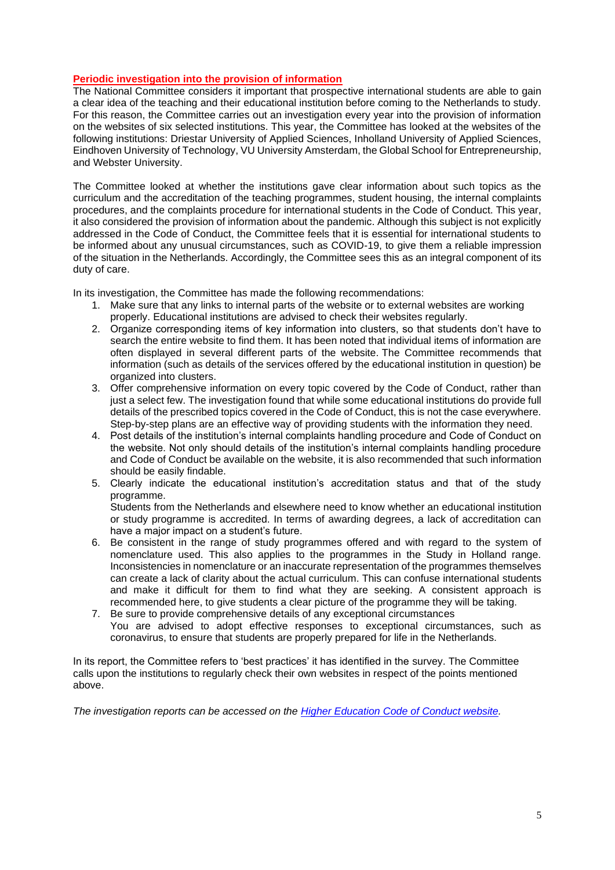# **Periodic investigation into the provision of information**

The National Committee considers it important that prospective international students are able to gain a clear idea of the teaching and their educational institution before coming to the Netherlands to study. For this reason, the Committee carries out an investigation every year into the provision of information on the websites of six selected institutions. This year, the Committee has looked at the websites of the following institutions: Driestar University of Applied Sciences, Inholland University of Applied Sciences, Eindhoven University of Technology, VU University Amsterdam, the Global School for Entrepreneurship, and Webster University.

The Committee looked at whether the institutions gave clear information about such topics as the curriculum and the accreditation of the teaching programmes, student housing, the internal complaints procedures, and the complaints procedure for international students in the Code of Conduct. This year, it also considered the provision of information about the pandemic. Although this subject is not explicitly addressed in the Code of Conduct, the Committee feels that it is essential for international students to be informed about any unusual circumstances, such as COVID-19, to give them a reliable impression of the situation in the Netherlands. Accordingly, the Committee sees this as an integral component of its duty of care.

In its investigation, the Committee has made the following recommendations:

- 1. Make sure that any links to internal parts of the website or to external websites are working properly. Educational institutions are advised to check their websites regularly.
- 2. Organize corresponding items of key information into clusters, so that students don't have to search the entire website to find them. It has been noted that individual items of information are often displayed in several different parts of the website. The Committee recommends that information (such as details of the services offered by the educational institution in question) be organized into clusters.
- 3. Offer comprehensive information on every topic covered by the Code of Conduct, rather than just a select few. The investigation found that while some educational institutions do provide full details of the prescribed topics covered in the Code of Conduct, this is not the case everywhere. Step-by-step plans are an effective way of providing students with the information they need.
- 4. Post details of the institution's internal complaints handling procedure and Code of Conduct on the website. Not only should details of the institution's internal complaints handling procedure and Code of Conduct be available on the website, it is also recommended that such information should be easily findable.
- 5. Clearly indicate the educational institution's accreditation status and that of the study programme.

Students from the Netherlands and elsewhere need to know whether an educational institution or study programme is accredited. In terms of awarding degrees, a lack of accreditation can have a major impact on a student's future.

- 6. Be consistent in the range of study programmes offered and with regard to the system of nomenclature used. This also applies to the programmes in the Study in Holland range. Inconsistencies in nomenclature or an inaccurate representation of the programmes themselves can create a lack of clarity about the actual curriculum. This can confuse international students and make it difficult for them to find what they are seeking. A consistent approach is recommended here, to give students a clear picture of the programme they will be taking.
- 7. Be sure to provide comprehensive details of any exceptional circumstances You are advised to adopt effective responses to exceptional circumstances, such as coronavirus, to ensure that students are properly prepared for life in the Netherlands.

In its report, the Committee refers to 'best practices' it has identified in the survey. The Committee calls upon the institutions to regularly check their own websites in respect of the points mentioned above.

*The investigation reports can be accessed on the [Higher Education](https://www.internationalstudy.nl/documenten/onderzoeksrapporten/) Code of Conduct website.*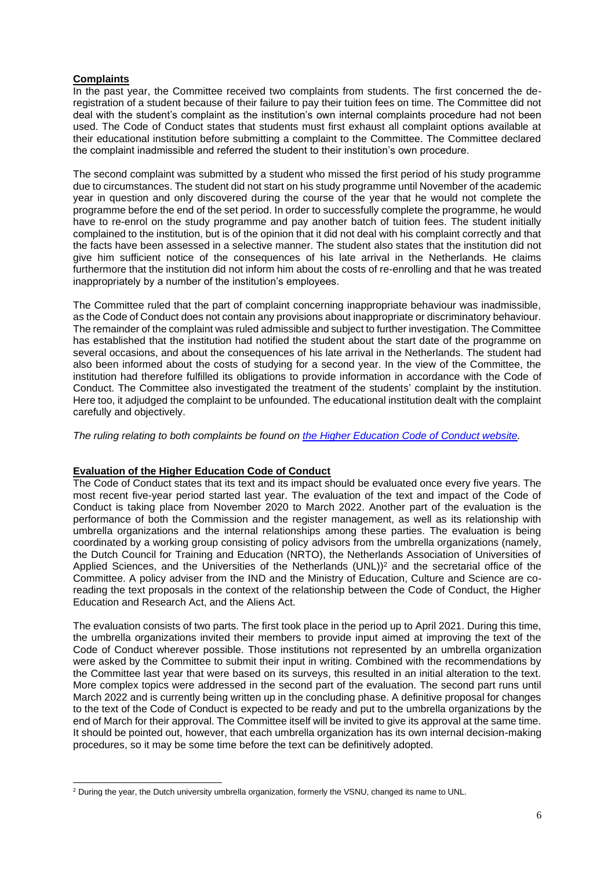# **Complaints**

In the past year, the Committee received two complaints from students. The first concerned the deregistration of a student because of their failure to pay their tuition fees on time. The Committee did not deal with the student's complaint as the institution's own internal complaints procedure had not been used. The Code of Conduct states that students must first exhaust all complaint options available at their educational institution before submitting a complaint to the Committee. The Committee declared the complaint inadmissible and referred the student to their institution's own procedure.

The second complaint was submitted by a student who missed the first period of his study programme due to circumstances. The student did not start on his study programme until November of the academic year in question and only discovered during the course of the year that he would not complete the programme before the end of the set period. In order to successfully complete the programme, he would have to re-enrol on the study programme and pay another batch of tuition fees. The student initially complained to the institution, but is of the opinion that it did not deal with his complaint correctly and that the facts have been assessed in a selective manner. The student also states that the institution did not give him sufficient notice of the consequences of his late arrival in the Netherlands. He claims furthermore that the institution did not inform him about the costs of re-enrolling and that he was treated inappropriately by a number of the institution's employees.

The Committee ruled that the part of complaint concerning inappropriate behaviour was inadmissible, as the Code of Conduct does not contain any provisions about inappropriate or discriminatory behaviour. The remainder of the complaint was ruled admissible and subject to further investigation. The Committee has established that the institution had notified the student about the start date of the programme on several occasions, and about the consequences of his late arrival in the Netherlands. The student had also been informed about the costs of studying for a second year. In the view of the Committee, the institution had therefore fulfilled its obligations to provide information in accordance with the Code of Conduct. The Committee also investigated the treatment of the students' complaint by the institution. Here too, it adjudged the complaint to be unfounded. The educational institution dealt with the complaint carefully and objectively.

*The ruling relating to both complaints be found on [the Higher Education Code of Conduct website.](https://www.internationalstudy.nl/documenten/uitspraken-klachtprocedures/)*

# **Evaluation of the Higher Education Code of Conduct**

The Code of Conduct states that its text and its impact should be evaluated once every five years. The most recent five-year period started last year. The evaluation of the text and impact of the Code of Conduct is taking place from November 2020 to March 2022. Another part of the evaluation is the performance of both the Commission and the register management, as well as its relationship with umbrella organizations and the internal relationships among these parties. The evaluation is being coordinated by a working group consisting of policy advisors from the umbrella organizations (namely, the Dutch Council for Training and Education (NRTO), the Netherlands Association of Universities of Applied Sciences, and the Universities of the Netherlands  $(UNL))^2$  and the secretarial office of the Committee. A policy adviser from the IND and the Ministry of Education, Culture and Science are coreading the text proposals in the context of the relationship between the Code of Conduct, the Higher Education and Research Act, and the Aliens Act.

The evaluation consists of two parts. The first took place in the period up to April 2021. During this time, the umbrella organizations invited their members to provide input aimed at improving the text of the Code of Conduct wherever possible. Those institutions not represented by an umbrella organization were asked by the Committee to submit their input in writing. Combined with the recommendations by the Committee last year that were based on its surveys, this resulted in an initial alteration to the text. More complex topics were addressed in the second part of the evaluation. The second part runs until March 2022 and is currently being written up in the concluding phase. A definitive proposal for changes to the text of the Code of Conduct is expected to be ready and put to the umbrella organizations by the end of March for their approval. The Committee itself will be invited to give its approval at the same time. It should be pointed out, however, that each umbrella organization has its own internal decision-making procedures, so it may be some time before the text can be definitively adopted.

<sup>&</sup>lt;sup>2</sup> During the year, the Dutch university umbrella organization, formerly the VSNU, changed its name to UNL.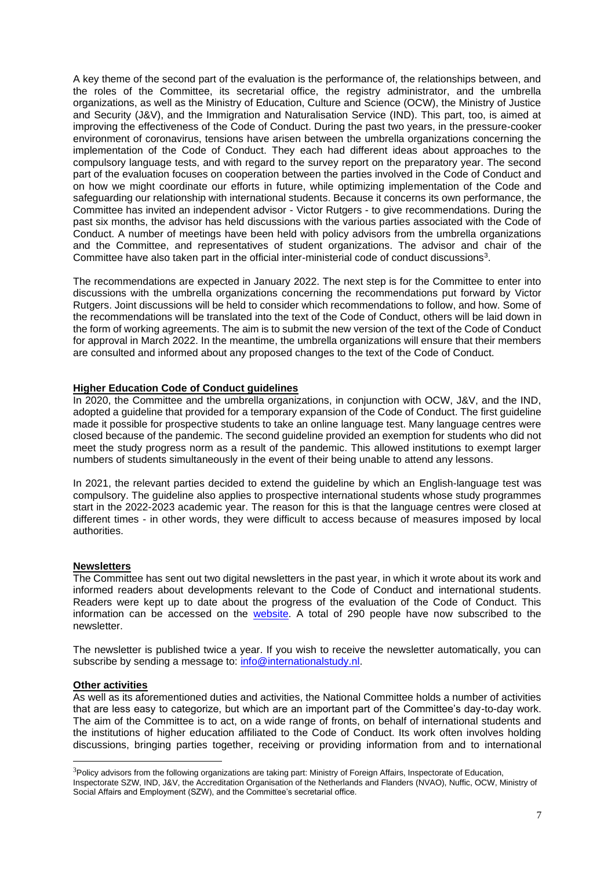A key theme of the second part of the evaluation is the performance of, the relationships between, and the roles of the Committee, its secretarial office, the registry administrator, and the umbrella organizations, as well as the Ministry of Education, Culture and Science (OCW), the Ministry of Justice and Security (J&V), and the Immigration and Naturalisation Service (IND). This part, too, is aimed at improving the effectiveness of the Code of Conduct. During the past two years, in the pressure-cooker environment of coronavirus, tensions have arisen between the umbrella organizations concerning the implementation of the Code of Conduct. They each had different ideas about approaches to the compulsory language tests, and with regard to the survey report on the preparatory year. The second part of the evaluation focuses on cooperation between the parties involved in the Code of Conduct and on how we might coordinate our efforts in future, while optimizing implementation of the Code and safeguarding our relationship with international students. Because it concerns its own performance, the Committee has invited an independent advisor - Victor Rutgers - to give recommendations. During the past six months, the advisor has held discussions with the various parties associated with the Code of Conduct. A number of meetings have been held with policy advisors from the umbrella organizations and the Committee, and representatives of student organizations. The advisor and chair of the Committee have also taken part in the official inter-ministerial code of conduct discussions<sup>3</sup> .

The recommendations are expected in January 2022. The next step is for the Committee to enter into discussions with the umbrella organizations concerning the recommendations put forward by Victor Rutgers. Joint discussions will be held to consider which recommendations to follow, and how. Some of the recommendations will be translated into the text of the Code of Conduct, others will be laid down in the form of working agreements. The aim is to submit the new version of the text of the Code of Conduct for approval in March 2022. In the meantime, the umbrella organizations will ensure that their members are consulted and informed about any proposed changes to the text of the Code of Conduct.

# **Higher Education Code of Conduct guidelines**

In 2020, the Committee and the umbrella organizations, in conjunction with OCW, J&V, and the IND, adopted a guideline that provided for a temporary expansion of the Code of Conduct. The first guideline made it possible for prospective students to take an online language test. Many language centres were closed because of the pandemic. The second guideline provided an exemption for students who did not meet the study progress norm as a result of the pandemic. This allowed institutions to exempt larger numbers of students simultaneously in the event of their being unable to attend any lessons.

In 2021, the relevant parties decided to extend the guideline by which an English-language test was compulsory. The guideline also applies to prospective international students whose study programmes start in the 2022-2023 academic year. The reason for this is that the language centres were closed at different times - in other words, they were difficult to access because of measures imposed by local authorities.

#### **Newsletters**

The Committee has sent out two digital newsletters in the past year, in which it wrote about its work and informed readers about developments relevant to the Code of Conduct and international students. Readers were kept up to date about the progress of the evaluation of the Code of Conduct. This information can be accessed on the [website.](http://www.internationalstudy.nl/) A total of 290 people have now subscribed to the newsletter.

The newsletter is published twice a year. If you wish to receive the newsletter automatically, you can subscribe by sending a message to: [info@internationalstudy.nl.](mailto:info@internationalstudy.nl)

#### **Other activities**

As well as its aforementioned duties and activities, the National Committee holds a number of activities that are less easy to categorize, but which are an important part of the Committee's day-to-day work. The aim of the Committee is to act, on a wide range of fronts, on behalf of international students and the institutions of higher education affiliated to the Code of Conduct. Its work often involves holding discussions, bringing parties together, receiving or providing information from and to international

<sup>&</sup>lt;sup>3</sup>Policy advisors from the following organizations are taking part: Ministry of Foreign Affairs, Inspectorate of Education, Inspectorate SZW, IND, J&V, the Accreditation Organisation of the Netherlands and Flanders (NVAO), Nuffic, OCW, Ministry of Social Affairs and Employment (SZW), and the Committee's secretarial office.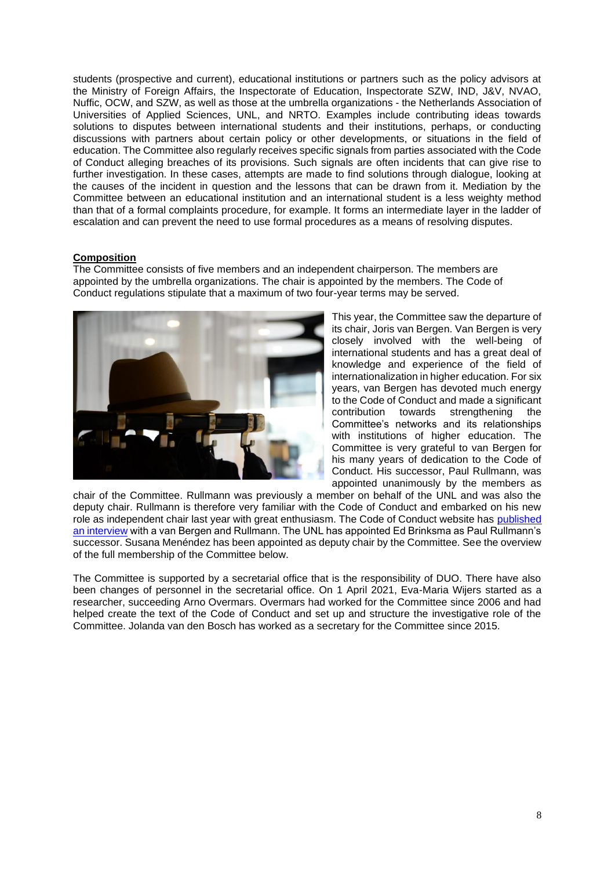students (prospective and current), educational institutions or partners such as the policy advisors at the Ministry of Foreign Affairs, the Inspectorate of Education, Inspectorate SZW, IND, J&V, NVAO, Nuffic, OCW, and SZW, as well as those at the umbrella organizations - the Netherlands Association of Universities of Applied Sciences, UNL, and NRTO. Examples include contributing ideas towards solutions to disputes between international students and their institutions, perhaps, or conducting discussions with partners about certain policy or other developments, or situations in the field of education. The Committee also regularly receives specific signals from parties associated with the Code of Conduct alleging breaches of its provisions. Such signals are often incidents that can give rise to further investigation. In these cases, attempts are made to find solutions through dialogue, looking at the causes of the incident in question and the lessons that can be drawn from it. Mediation by the Committee between an educational institution and an international student is a less weighty method than that of a formal complaints procedure, for example. It forms an intermediate layer in the ladder of escalation and can prevent the need to use formal procedures as a means of resolving disputes.

#### **Composition**

The Committee consists of five members and an independent chairperson. The members are appointed by the umbrella organizations. The chair is appointed by the members. The Code of Conduct regulations stipulate that a maximum of two four-year terms may be served.



This year, the Committee saw the departure of its chair, Joris van Bergen. Van Bergen is very closely involved with the well-being of international students and has a great deal of knowledge and experience of the field of internationalization in higher education. For six years, van Bergen has devoted much energy to the Code of Conduct and made a significant contribution towards strengthening the Committee's networks and its relationships with institutions of higher education. The Committee is very grateful to van Bergen for his many years of dedication to the Code of Conduct. His successor, Paul Rullmann, was appointed unanimously by the members as

chair of the Committee. Rullmann was previously a member on behalf of the UNL and was also the deputy chair. Rullmann is therefore very familiar with the Code of Conduct and embarked on his new role as independent chair last year with great enthusiasm. The Code of Conduct website has [published](https://www.internationalstudy.nl/afscheid-voorzitter-joris-van-bergen-en-aantreden-nieuwe-voorzitter-rullmann-van-bergen/)  [an interview](https://www.internationalstudy.nl/afscheid-voorzitter-joris-van-bergen-en-aantreden-nieuwe-voorzitter-rullmann-van-bergen/) with a van Bergen and Rullmann. The UNL has appointed Ed Brinksma as Paul Rullmann's successor. Susana Menéndez has been appointed as deputy chair by the Committee. See the overview of the full membership of the Committee below.

The Committee is supported by a secretarial office that is the responsibility of DUO. There have also been changes of personnel in the secretarial office. On 1 April 2021, Eva-Maria Wijers started as a researcher, succeeding Arno Overmars. Overmars had worked for the Committee since 2006 and had helped create the text of the Code of Conduct and set up and structure the investigative role of the Committee. Jolanda van den Bosch has worked as a secretary for the Committee since 2015.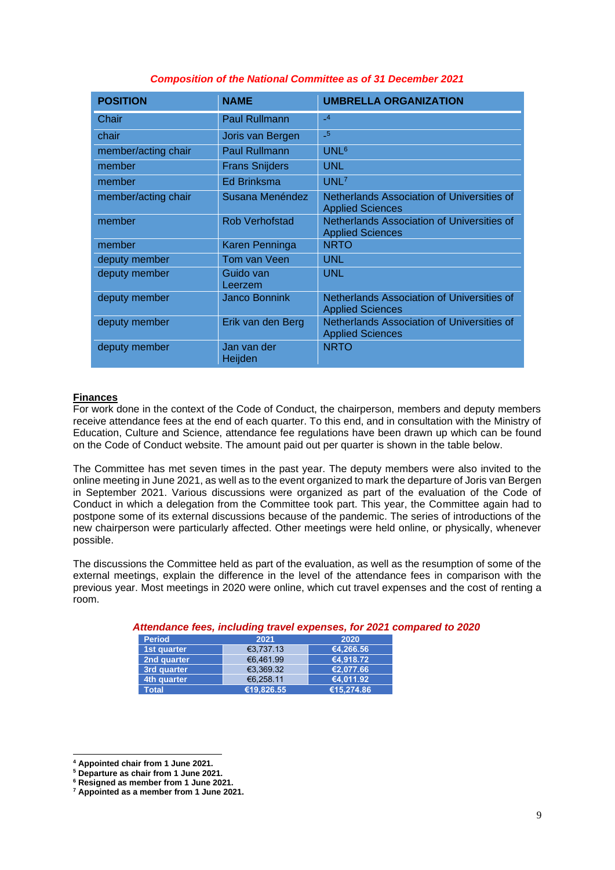| <b>POSITION</b>     | <b>NAME</b>            | <b>UMBRELLA ORGANIZATION</b>                                          |
|---------------------|------------------------|-----------------------------------------------------------------------|
| Chair               | <b>Paul Rullmann</b>   | $-4$                                                                  |
| chair               | Joris van Bergen       | $-5$                                                                  |
| member/acting chair | <b>Paul Rullmann</b>   | UNL <sup>6</sup>                                                      |
| member              | <b>Frans Snijders</b>  | <b>UNL</b>                                                            |
| member              | <b>Ed Brinksma</b>     | UNL7                                                                  |
| member/acting chair | Susana Menéndez        | Netherlands Association of Universities of<br><b>Applied Sciences</b> |
| member              | <b>Rob Verhofstad</b>  | Netherlands Association of Universities of<br><b>Applied Sciences</b> |
| member              | Karen Penninga         | <b>NRTO</b>                                                           |
| deputy member       | Tom van Veen           | <b>UNL</b>                                                            |
| deputy member       | Guido van<br>Leerzem   | <b>UNL</b>                                                            |
| deputy member       | <b>Janco Bonnink</b>   | Netherlands Association of Universities of<br><b>Applied Sciences</b> |
| deputy member       | Erik van den Berg      | Netherlands Association of Universities of<br><b>Applied Sciences</b> |
| deputy member       | Jan van der<br>Heijden | <b>NRTO</b>                                                           |

## *Composition of the National Committee as of 31 December 2021*

### **Finances**

For work done in the context of the Code of Conduct, the chairperson, members and deputy members receive attendance fees at the end of each quarter. To this end, and in consultation with the Ministry of Education, Culture and Science, attendance fee regulations have been drawn up which can be found on the Code of Conduct website. The amount paid out per quarter is shown in the table below.

The Committee has met seven times in the past year. The deputy members were also invited to the online meeting in June 2021, as well as to the event organized to mark the departure of Joris van Bergen in September 2021. Various discussions were organized as part of the evaluation of the Code of Conduct in which a delegation from the Committee took part. This year, the Committee again had to postpone some of its external discussions because of the pandemic. The series of introductions of the new chairperson were particularly affected. Other meetings were held online, or physically, whenever possible.

The discussions the Committee held as part of the evaluation, as well as the resumption of some of the external meetings, explain the difference in the level of the attendance fees in comparison with the previous year. Most meetings in 2020 were online, which cut travel expenses and the cost of renting a room.

| <b>Period</b> | 2021       | 2020       |
|---------------|------------|------------|
| 1st quarter   | €3.737.13  | €4.266.56  |
| 2nd quarter   | €6.461.99  | €4.918.72  |
| 3rd quarter   | €3,369.32  | €2.077.66  |
| 4th quarter   | €6.258.11  | €4.011.92  |
| <b>Total</b>  | €19.826.55 | €15.274.86 |

# *Attendance fees, including travel expenses, for 2021 compared to 2020*

**<sup>4</sup> Appointed chair from 1 June 2021.**

**<sup>5</sup> Departure as chair from 1 June 2021.**

**<sup>6</sup> Resigned as member from 1 June 2021.**

**<sup>7</sup> Appointed as a member from 1 June 2021.**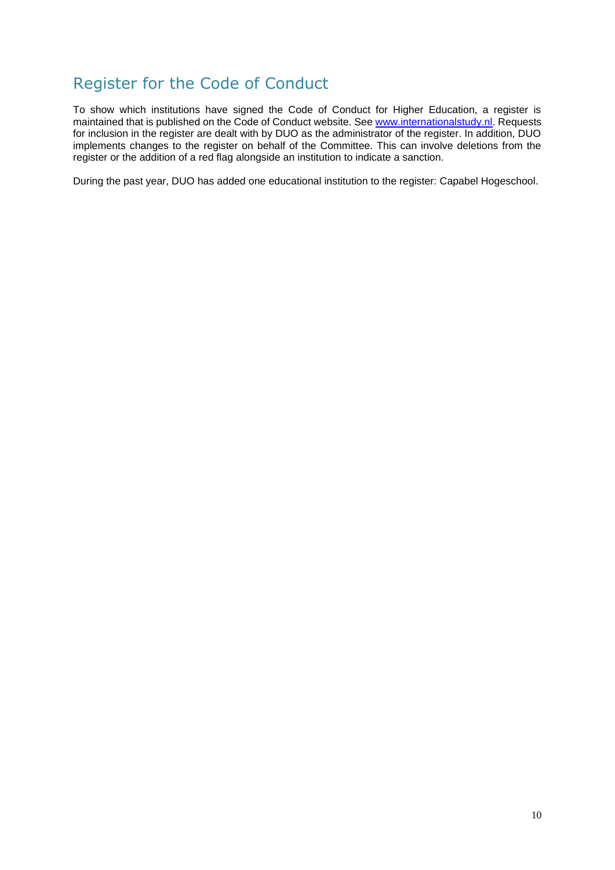# <span id="page-10-0"></span>Register for the Code of Conduct

To show which institutions have signed the Code of Conduct for Higher Education, a register is maintained that is published on the Code of Conduct website. See [www.internationalstudy.nl.](http://www.internationalstudy.nl/) Requests for inclusion in the register are dealt with by DUO as the administrator of the register. In addition, DUO implements changes to the register on behalf of the Committee. This can involve deletions from the register or the addition of a red flag alongside an institution to indicate a sanction.

During the past year, DUO has added one educational institution to the register: Capabel Hogeschool.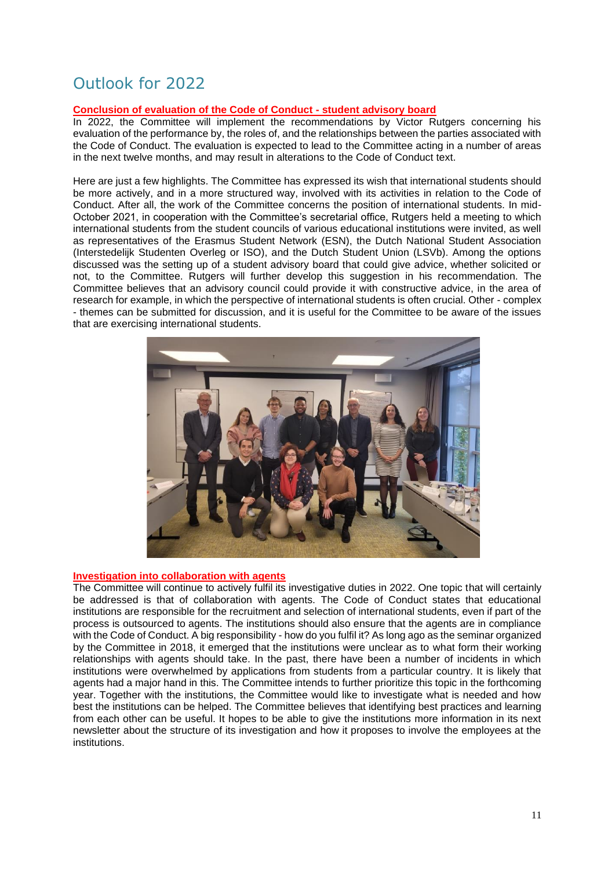# <span id="page-11-0"></span>Outlook for 2022

# **Conclusion of evaluation of the Code of Conduct - student advisory board**

In 2022, the Committee will implement the recommendations by Victor Rutgers concerning his evaluation of the performance by, the roles of, and the relationships between the parties associated with the Code of Conduct. The evaluation is expected to lead to the Committee acting in a number of areas in the next twelve months, and may result in alterations to the Code of Conduct text.

Here are just a few highlights. The Committee has expressed its wish that international students should be more actively, and in a more structured way, involved with its activities in relation to the Code of Conduct. After all, the work of the Committee concerns the position of international students. In mid-October 2021, in cooperation with the Committee's secretarial office, Rutgers held a meeting to which international students from the student councils of various educational institutions were invited, as well as representatives of the Erasmus Student Network (ESN), the Dutch National Student Association (Interstedelijk Studenten Overleg or ISO), and the Dutch Student Union (LSVb). Among the options discussed was the setting up of a student advisory board that could give advice, whether solicited or not, to the Committee. Rutgers will further develop this suggestion in his recommendation. The Committee believes that an advisory council could provide it with constructive advice, in the area of research for example, in which the perspective of international students is often crucial. Other - complex - themes can be submitted for discussion, and it is useful for the Committee to be aware of the issues that are exercising international students.



# **Investigation into collaboration with agents**

The Committee will continue to actively fulfil its investigative duties in 2022. One topic that will certainly be addressed is that of collaboration with agents. The Code of Conduct states that educational institutions are responsible for the recruitment and selection of international students, even if part of the process is outsourced to agents. The institutions should also ensure that the agents are in compliance with the Code of Conduct. A big responsibility - how do you fulfil it? As long ago as the seminar organized by the Committee in 2018, it emerged that the institutions were unclear as to what form their working relationships with agents should take. In the past, there have been a number of incidents in which institutions were overwhelmed by applications from students from a particular country. It is likely that agents had a major hand in this. The Committee intends to further prioritize this topic in the forthcoming year. Together with the institutions, the Committee would like to investigate what is needed and how best the institutions can be helped. The Committee believes that identifying best practices and learning from each other can be useful. It hopes to be able to give the institutions more information in its next newsletter about the structure of its investigation and how it proposes to involve the employees at the institutions.